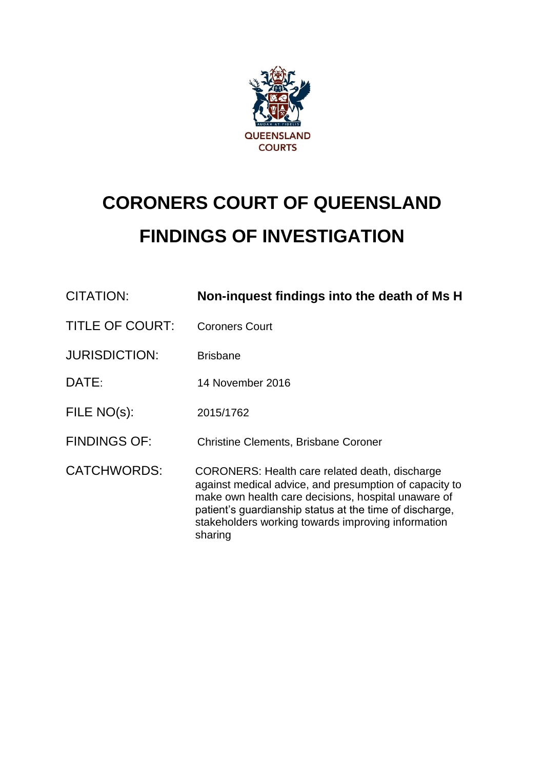

# **CORONERS COURT OF QUEENSLAND FINDINGS OF INVESTIGATION**

| CITATION:              | Non-inquest findings into the death of Ms H                                                                                                                                                                                                                                                 |
|------------------------|---------------------------------------------------------------------------------------------------------------------------------------------------------------------------------------------------------------------------------------------------------------------------------------------|
| <b>TITLE OF COURT:</b> | <b>Coroners Court</b>                                                                                                                                                                                                                                                                       |
| <b>JURISDICTION:</b>   | <b>Brisbane</b>                                                                                                                                                                                                                                                                             |
| DATE:                  | 14 November 2016                                                                                                                                                                                                                                                                            |
| FILE NO(s):            | 2015/1762                                                                                                                                                                                                                                                                                   |
| <b>FINDINGS OF:</b>    | <b>Christine Clements, Brisbane Coroner</b>                                                                                                                                                                                                                                                 |
| <b>CATCHWORDS:</b>     | CORONERS: Health care related death, discharge<br>against medical advice, and presumption of capacity to<br>make own health care decisions, hospital unaware of<br>patient's guardianship status at the time of discharge,<br>stakeholders working towards improving information<br>sharing |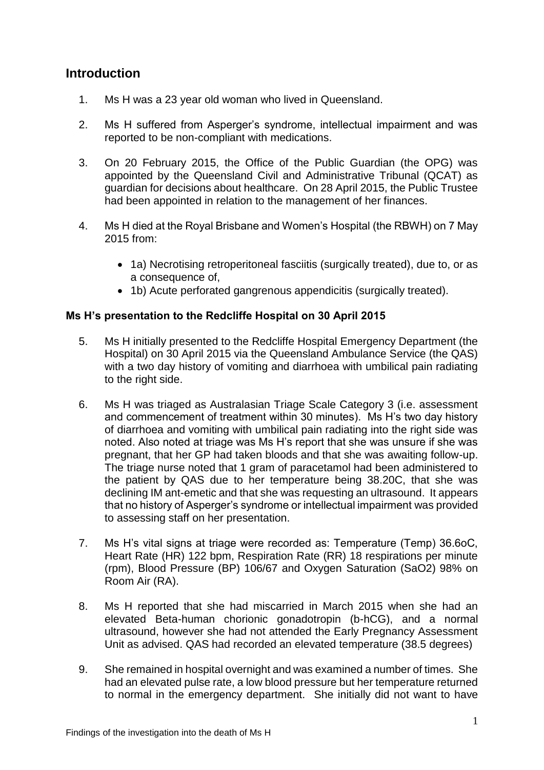## **Introduction**

- 1. Ms H was a 23 year old woman who lived in Queensland.
- 2. Ms H suffered from Asperger's syndrome, intellectual impairment and was reported to be non-compliant with medications.
- 3. On 20 February 2015, the Office of the Public Guardian (the OPG) was appointed by the Queensland Civil and Administrative Tribunal (QCAT) as guardian for decisions about healthcare. On 28 April 2015, the Public Trustee had been appointed in relation to the management of her finances.
- 4. Ms H died at the Royal Brisbane and Women's Hospital (the RBWH) on 7 May 2015 from:
	- 1a) Necrotising retroperitoneal fasciitis (surgically treated), due to, or as a consequence of,
	- 1b) Acute perforated gangrenous appendicitis (surgically treated).

#### **Ms H's presentation to the Redcliffe Hospital on 30 April 2015**

- 5. Ms H initially presented to the Redcliffe Hospital Emergency Department (the Hospital) on 30 April 2015 via the Queensland Ambulance Service (the QAS) with a two day history of vomiting and diarrhoea with umbilical pain radiating to the right side.
- 6. Ms H was triaged as Australasian Triage Scale Category 3 (i.e. assessment and commencement of treatment within 30 minutes). Ms H's two day history of diarrhoea and vomiting with umbilical pain radiating into the right side was noted. Also noted at triage was Ms H's report that she was unsure if she was pregnant, that her GP had taken bloods and that she was awaiting follow-up. The triage nurse noted that 1 gram of paracetamol had been administered to the patient by QAS due to her temperature being 38.20C, that she was declining IM ant-emetic and that she was requesting an ultrasound. It appears that no history of Asperger's syndrome or intellectual impairment was provided to assessing staff on her presentation.
- 7. Ms H's vital signs at triage were recorded as: Temperature (Temp) 36.6oC, Heart Rate (HR) 122 bpm, Respiration Rate (RR) 18 respirations per minute (rpm), Blood Pressure (BP) 106/67 and Oxygen Saturation (SaO2) 98% on Room Air (RA).
- 8. Ms H reported that she had miscarried in March 2015 when she had an elevated Beta-human chorionic gonadotropin (b-hCG), and a normal ultrasound, however she had not attended the Early Pregnancy Assessment Unit as advised. QAS had recorded an elevated temperature (38.5 degrees)
- 9. She remained in hospital overnight and was examined a number of times. She had an elevated pulse rate, a low blood pressure but her temperature returned to normal in the emergency department. She initially did not want to have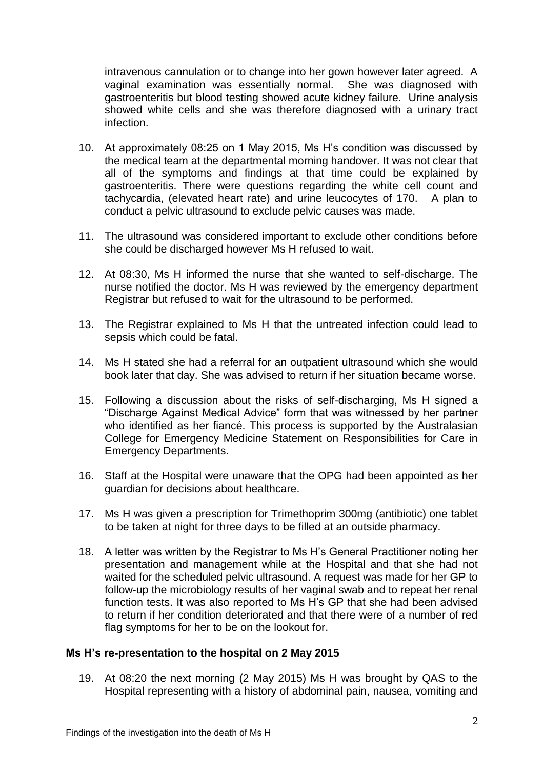intravenous cannulation or to change into her gown however later agreed. A vaginal examination was essentially normal. She was diagnosed with gastroenteritis but blood testing showed acute kidney failure. Urine analysis showed white cells and she was therefore diagnosed with a urinary tract infection.

- 10. At approximately 08:25 on 1 May 2015, Ms H's condition was discussed by the medical team at the departmental morning handover. It was not clear that all of the symptoms and findings at that time could be explained by gastroenteritis. There were questions regarding the white cell count and tachycardia, (elevated heart rate) and urine leucocytes of 170. A plan to conduct a pelvic ultrasound to exclude pelvic causes was made.
- 11. The ultrasound was considered important to exclude other conditions before she could be discharged however Ms H refused to wait.
- 12. At 08:30, Ms H informed the nurse that she wanted to self-discharge. The nurse notified the doctor. Ms H was reviewed by the emergency department Registrar but refused to wait for the ultrasound to be performed.
- 13. The Registrar explained to Ms H that the untreated infection could lead to sepsis which could be fatal.
- 14. Ms H stated she had a referral for an outpatient ultrasound which she would book later that day. She was advised to return if her situation became worse.
- 15. Following a discussion about the risks of self-discharging, Ms H signed a "Discharge Against Medical Advice" form that was witnessed by her partner who identified as her fiancé. This process is supported by the Australasian College for Emergency Medicine Statement on Responsibilities for Care in Emergency Departments.
- 16. Staff at the Hospital were unaware that the OPG had been appointed as her guardian for decisions about healthcare.
- 17. Ms H was given a prescription for Trimethoprim 300mg (antibiotic) one tablet to be taken at night for three days to be filled at an outside pharmacy.
- 18. A letter was written by the Registrar to Ms H's General Practitioner noting her presentation and management while at the Hospital and that she had not waited for the scheduled pelvic ultrasound. A request was made for her GP to follow-up the microbiology results of her vaginal swab and to repeat her renal function tests. It was also reported to Ms H's GP that she had been advised to return if her condition deteriorated and that there were of a number of red flag symptoms for her to be on the lookout for.

#### **Ms H's re-presentation to the hospital on 2 May 2015**

19. At 08:20 the next morning (2 May 2015) Ms H was brought by QAS to the Hospital representing with a history of abdominal pain, nausea, vomiting and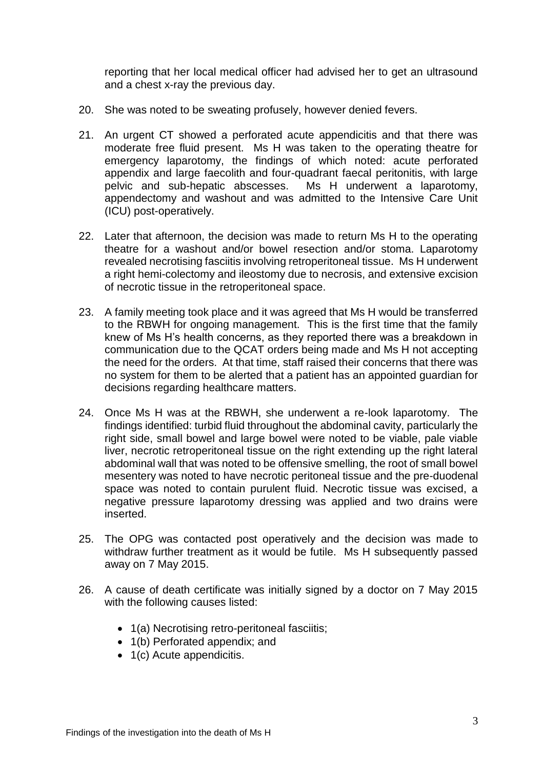reporting that her local medical officer had advised her to get an ultrasound and a chest x-ray the previous day.

- 20. She was noted to be sweating profusely, however denied fevers.
- 21. An urgent CT showed a perforated acute appendicitis and that there was moderate free fluid present. Ms H was taken to the operating theatre for emergency laparotomy, the findings of which noted: acute perforated appendix and large faecolith and four-quadrant faecal peritonitis, with large pelvic and sub-hepatic abscesses. Ms H underwent a laparotomy, appendectomy and washout and was admitted to the Intensive Care Unit (ICU) post-operatively.
- 22. Later that afternoon, the decision was made to return Ms H to the operating theatre for a washout and/or bowel resection and/or stoma. Laparotomy revealed necrotising fasciitis involving retroperitoneal tissue. Ms H underwent a right hemi-colectomy and ileostomy due to necrosis, and extensive excision of necrotic tissue in the retroperitoneal space.
- 23. A family meeting took place and it was agreed that Ms H would be transferred to the RBWH for ongoing management. This is the first time that the family knew of Ms H's health concerns, as they reported there was a breakdown in communication due to the QCAT orders being made and Ms H not accepting the need for the orders. At that time, staff raised their concerns that there was no system for them to be alerted that a patient has an appointed guardian for decisions regarding healthcare matters.
- 24. Once Ms H was at the RBWH, she underwent a re-look laparotomy. The findings identified: turbid fluid throughout the abdominal cavity, particularly the right side, small bowel and large bowel were noted to be viable, pale viable liver, necrotic retroperitoneal tissue on the right extending up the right lateral abdominal wall that was noted to be offensive smelling, the root of small bowel mesentery was noted to have necrotic peritoneal tissue and the pre-duodenal space was noted to contain purulent fluid. Necrotic tissue was excised, a negative pressure laparotomy dressing was applied and two drains were inserted.
- 25. The OPG was contacted post operatively and the decision was made to withdraw further treatment as it would be futile. Ms H subsequently passed away on 7 May 2015.
- 26. A cause of death certificate was initially signed by a doctor on 7 May 2015 with the following causes listed:
	- 1(a) Necrotising retro-peritoneal fasciitis;
	- 1(b) Perforated appendix; and
	- 1(c) Acute appendicitis.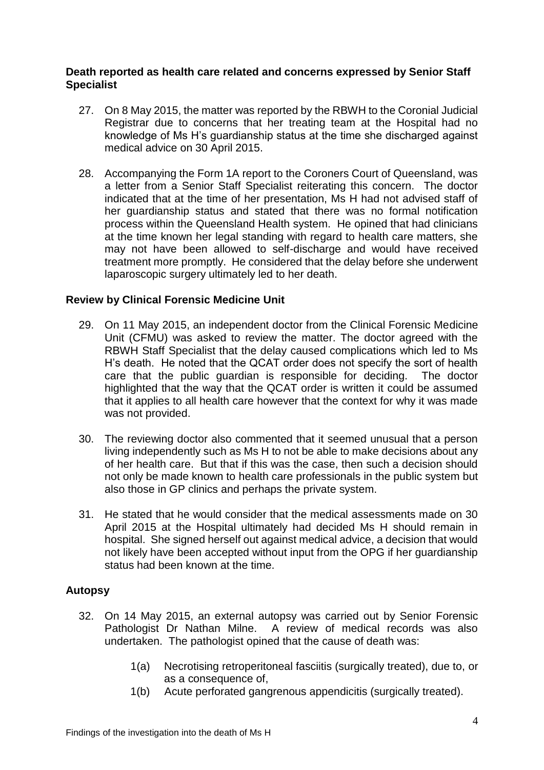#### **Death reported as health care related and concerns expressed by Senior Staff Specialist**

- 27. On 8 May 2015, the matter was reported by the RBWH to the Coronial Judicial Registrar due to concerns that her treating team at the Hospital had no knowledge of Ms H's guardianship status at the time she discharged against medical advice on 30 April 2015.
- 28. Accompanying the Form 1A report to the Coroners Court of Queensland, was a letter from a Senior Staff Specialist reiterating this concern. The doctor indicated that at the time of her presentation, Ms H had not advised staff of her guardianship status and stated that there was no formal notification process within the Queensland Health system. He opined that had clinicians at the time known her legal standing with regard to health care matters, she may not have been allowed to self-discharge and would have received treatment more promptly. He considered that the delay before she underwent laparoscopic surgery ultimately led to her death.

#### **Review by Clinical Forensic Medicine Unit**

- 29. On 11 May 2015, an independent doctor from the Clinical Forensic Medicine Unit (CFMU) was asked to review the matter. The doctor agreed with the RBWH Staff Specialist that the delay caused complications which led to Ms H's death. He noted that the QCAT order does not specify the sort of health care that the public guardian is responsible for deciding. The doctor highlighted that the way that the QCAT order is written it could be assumed that it applies to all health care however that the context for why it was made was not provided.
- 30. The reviewing doctor also commented that it seemed unusual that a person living independently such as Ms H to not be able to make decisions about any of her health care. But that if this was the case, then such a decision should not only be made known to health care professionals in the public system but also those in GP clinics and perhaps the private system.
- 31. He stated that he would consider that the medical assessments made on 30 April 2015 at the Hospital ultimately had decided Ms H should remain in hospital. She signed herself out against medical advice, a decision that would not likely have been accepted without input from the OPG if her guardianship status had been known at the time.

#### **Autopsy**

- 32. On 14 May 2015, an external autopsy was carried out by Senior Forensic Pathologist Dr Nathan Milne. A review of medical records was also undertaken. The pathologist opined that the cause of death was:
	- 1(a) Necrotising retroperitoneal fasciitis (surgically treated), due to, or as a consequence of,
	- 1(b) Acute perforated gangrenous appendicitis (surgically treated).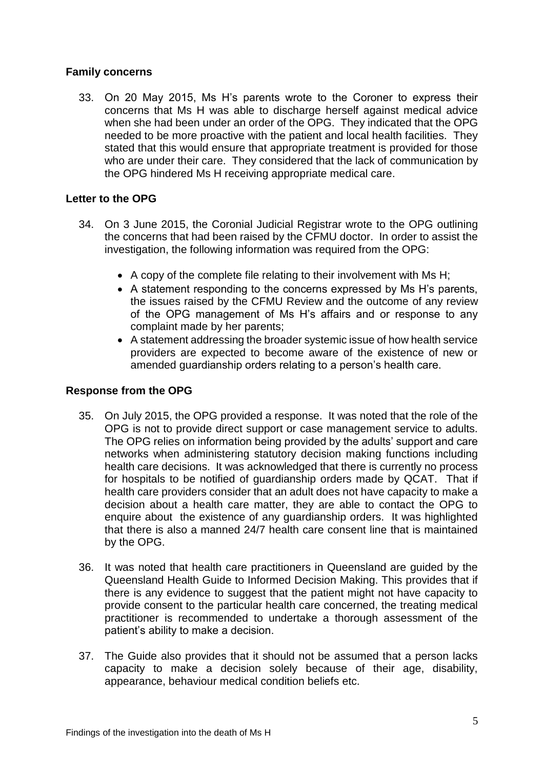#### **Family concerns**

33. On 20 May 2015, Ms H's parents wrote to the Coroner to express their concerns that Ms H was able to discharge herself against medical advice when she had been under an order of the OPG. They indicated that the OPG needed to be more proactive with the patient and local health facilities. They stated that this would ensure that appropriate treatment is provided for those who are under their care. They considered that the lack of communication by the OPG hindered Ms H receiving appropriate medical care.

#### **Letter to the OPG**

- 34. On 3 June 2015, the Coronial Judicial Registrar wrote to the OPG outlining the concerns that had been raised by the CFMU doctor. In order to assist the investigation, the following information was required from the OPG:
	- A copy of the complete file relating to their involvement with Ms H;
	- A statement responding to the concerns expressed by Ms H's parents, the issues raised by the CFMU Review and the outcome of any review of the OPG management of Ms H's affairs and or response to any complaint made by her parents;
	- A statement addressing the broader systemic issue of how health service providers are expected to become aware of the existence of new or amended guardianship orders relating to a person's health care.

#### **Response from the OPG**

- 35. On July 2015, the OPG provided a response. It was noted that the role of the OPG is not to provide direct support or case management service to adults. The OPG relies on information being provided by the adults' support and care networks when administering statutory decision making functions including health care decisions. It was acknowledged that there is currently no process for hospitals to be notified of guardianship orders made by QCAT. That if health care providers consider that an adult does not have capacity to make a decision about a health care matter, they are able to contact the OPG to enquire about the existence of any guardianship orders. It was highlighted that there is also a manned 24/7 health care consent line that is maintained by the OPG.
- 36. It was noted that health care practitioners in Queensland are guided by the Queensland Health Guide to Informed Decision Making. This provides that if there is any evidence to suggest that the patient might not have capacity to provide consent to the particular health care concerned, the treating medical practitioner is recommended to undertake a thorough assessment of the patient's ability to make a decision.
- 37. The Guide also provides that it should not be assumed that a person lacks capacity to make a decision solely because of their age, disability, appearance, behaviour medical condition beliefs etc.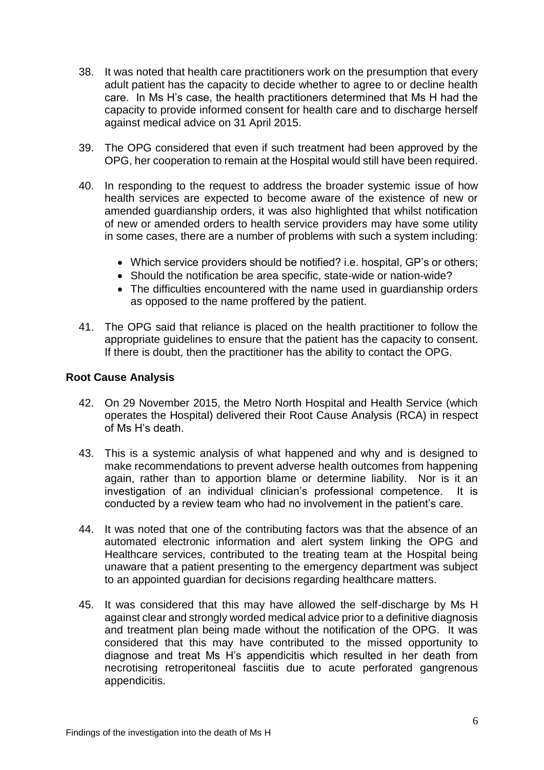- 38. It was noted that health care practitioners work on the presumption that every adult patient has the capacity to decide whether to agree to or decline health care. In Ms H's case, the health practitioners determined that Ms H had the capacity to provide informed consent for health care and to discharge herself against medical advice on 31 April 2015.
- 39. The OPG considered that even if such treatment had been approved by the OPG, her cooperation to remain at the Hospital would still have been required.
- 40. In responding to the request to address the broader systemic issue of how health services are expected to become aware of the existence of new or amended guardianship orders, it was also highlighted that whilst notification of new or amended orders to health service providers may have some utility in some cases, there are a number of problems with such a system including:
	- Which service providers should be notified? i.e. hospital, GP's or others;
	- Should the notification be area specific, state-wide or nation-wide?
	- The difficulties encountered with the name used in guardianship orders as opposed to the name proffered by the patient.
- 41. The OPG said that reliance is placed on the health practitioner to follow the appropriate guidelines to ensure that the patient has the capacity to consent. If there is doubt, then the practitioner has the ability to contact the OPG.

#### **Root Cause Analysis**

- 42. On 29 November 2015, the Metro North Hospital and Health Service (which operates the Hospital) delivered their Root Cause Analysis (RCA) in respect of Ms H's death.
- 43. This is a systemic analysis of what happened and why and is designed to make recommendations to prevent adverse health outcomes from happening again, rather than to apportion blame or determine liability. Nor is it an investigation of an individual clinician's professional competence. It is conducted by a review team who had no involvement in the patient's care.
- 44. It was noted that one of the contributing factors was that the absence of an automated electronic information and alert system linking the OPG and Healthcare services, contributed to the treating team at the Hospital being unaware that a patient presenting to the emergency department was subject to an appointed guardian for decisions regarding healthcare matters.
- 45. It was considered that this may have allowed the self-discharge by Ms H against clear and strongly worded medical advice prior to a definitive diagnosis and treatment plan being made without the notification of the OPG. It was considered that this may have contributed to the missed opportunity to diagnose and treat Ms H's appendicitis which resulted in her death from necrotising retroperitoneal fasciitis due to acute perforated gangrenous appendicitis.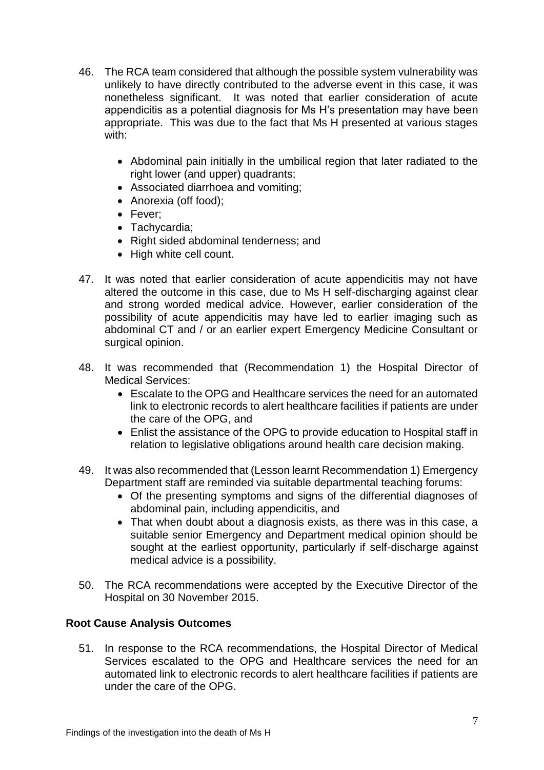- 46. The RCA team considered that although the possible system vulnerability was unlikely to have directly contributed to the adverse event in this case, it was nonetheless significant. It was noted that earlier consideration of acute appendicitis as a potential diagnosis for Ms H's presentation may have been appropriate. This was due to the fact that Ms H presented at various stages with:
	- Abdominal pain initially in the umbilical region that later radiated to the right lower (and upper) quadrants;
	- Associated diarrhoea and vomiting;
	- Anorexia (off food);
	- Fever:
	- Tachycardia;
	- Right sided abdominal tenderness; and
	- High white cell count.
- 47. It was noted that earlier consideration of acute appendicitis may not have altered the outcome in this case, due to Ms H self-discharging against clear and strong worded medical advice. However, earlier consideration of the possibility of acute appendicitis may have led to earlier imaging such as abdominal CT and / or an earlier expert Emergency Medicine Consultant or surgical opinion.
- 48. It was recommended that (Recommendation 1) the Hospital Director of Medical Services:
	- Escalate to the OPG and Healthcare services the need for an automated link to electronic records to alert healthcare facilities if patients are under the care of the OPG, and
	- Enlist the assistance of the OPG to provide education to Hospital staff in relation to legislative obligations around health care decision making.
- 49. It was also recommended that (Lesson learnt Recommendation 1) Emergency Department staff are reminded via suitable departmental teaching forums:
	- Of the presenting symptoms and signs of the differential diagnoses of abdominal pain, including appendicitis, and
	- That when doubt about a diagnosis exists, as there was in this case, a suitable senior Emergency and Department medical opinion should be sought at the earliest opportunity, particularly if self-discharge against medical advice is a possibility.
- 50. The RCA recommendations were accepted by the Executive Director of the Hospital on 30 November 2015.

#### **Root Cause Analysis Outcomes**

51. In response to the RCA recommendations, the Hospital Director of Medical Services escalated to the OPG and Healthcare services the need for an automated link to electronic records to alert healthcare facilities if patients are under the care of the OPG.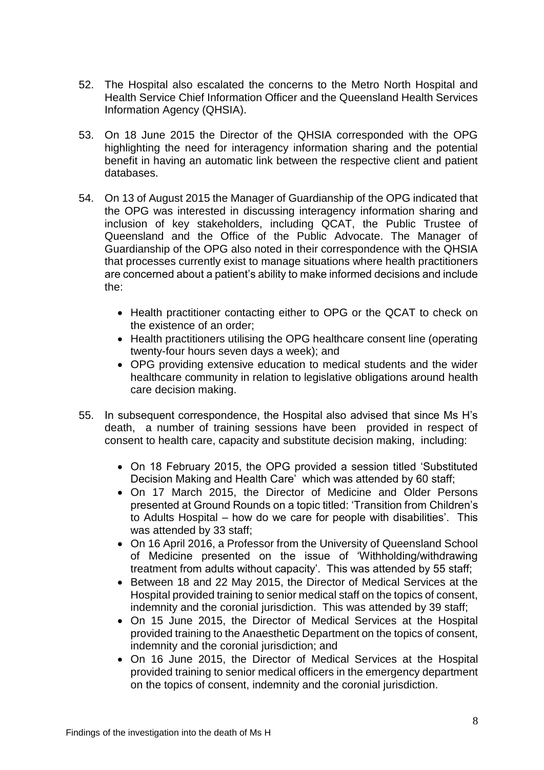- 52. The Hospital also escalated the concerns to the Metro North Hospital and Health Service Chief Information Officer and the Queensland Health Services Information Agency (QHSIA).
- 53. On 18 June 2015 the Director of the QHSIA corresponded with the OPG highlighting the need for interagency information sharing and the potential benefit in having an automatic link between the respective client and patient databases.
- 54. On 13 of August 2015 the Manager of Guardianship of the OPG indicated that the OPG was interested in discussing interagency information sharing and inclusion of key stakeholders, including QCAT, the Public Trustee of Queensland and the Office of the Public Advocate. The Manager of Guardianship of the OPG also noted in their correspondence with the QHSIA that processes currently exist to manage situations where health practitioners are concerned about a patient's ability to make informed decisions and include the:
	- Health practitioner contacting either to OPG or the QCAT to check on the existence of an order;
	- Health practitioners utilising the OPG healthcare consent line (operating twenty-four hours seven days a week); and
	- OPG providing extensive education to medical students and the wider healthcare community in relation to legislative obligations around health care decision making.
- 55. In subsequent correspondence, the Hospital also advised that since Ms H's death, a number of training sessions have been provided in respect of consent to health care, capacity and substitute decision making, including:
	- On 18 February 2015, the OPG provided a session titled 'Substituted Decision Making and Health Care' which was attended by 60 staff;
	- On 17 March 2015, the Director of Medicine and Older Persons presented at Ground Rounds on a topic titled: 'Transition from Children's to Adults Hospital – how do we care for people with disabilities'. This was attended by 33 staff;
	- On 16 April 2016, a Professor from the University of Queensland School of Medicine presented on the issue of 'Withholding/withdrawing treatment from adults without capacity'. This was attended by 55 staff;
	- Between 18 and 22 May 2015, the Director of Medical Services at the Hospital provided training to senior medical staff on the topics of consent, indemnity and the coronial jurisdiction. This was attended by 39 staff;
	- On 15 June 2015, the Director of Medical Services at the Hospital provided training to the Anaesthetic Department on the topics of consent, indemnity and the coronial jurisdiction; and
	- On 16 June 2015, the Director of Medical Services at the Hospital provided training to senior medical officers in the emergency department on the topics of consent, indemnity and the coronial jurisdiction.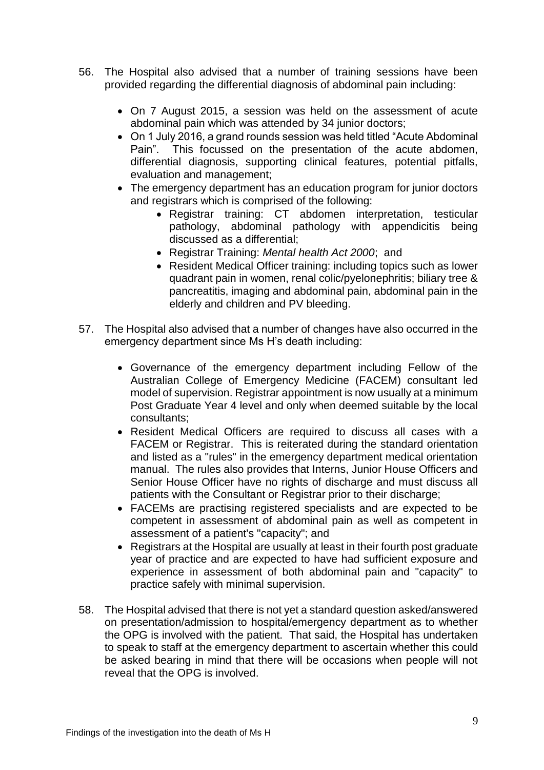- 56. The Hospital also advised that a number of training sessions have been provided regarding the differential diagnosis of abdominal pain including:
	- On 7 August 2015, a session was held on the assessment of acute abdominal pain which was attended by 34 junior doctors;
	- On 1 July 2016, a grand rounds session was held titled "Acute Abdominal Pain". This focussed on the presentation of the acute abdomen, differential diagnosis, supporting clinical features, potential pitfalls, evaluation and management;
	- The emergency department has an education program for junior doctors and registrars which is comprised of the following:
		- Registrar training: CT abdomen interpretation, testicular pathology, abdominal pathology with appendicitis being discussed as a differential;
		- Registrar Training: *Mental health Act 2000*; and
		- Resident Medical Officer training: including topics such as lower quadrant pain in women, renal colic/pyelonephritis; biliary tree & pancreatitis, imaging and abdominal pain, abdominal pain in the elderly and children and PV bleeding.
- 57. The Hospital also advised that a number of changes have also occurred in the emergency department since Ms H's death including:
	- Governance of the emergency department including Fellow of the Australian College of Emergency Medicine (FACEM) consultant led model of supervision. Registrar appointment is now usually at a minimum Post Graduate Year 4 level and only when deemed suitable by the local consultants;
	- Resident Medical Officers are required to discuss all cases with a FACEM or Registrar. This is reiterated during the standard orientation and listed as a "rules" in the emergency department medical orientation manual. The rules also provides that Interns, Junior House Officers and Senior House Officer have no rights of discharge and must discuss all patients with the Consultant or Registrar prior to their discharge;
	- FACEMs are practising registered specialists and are expected to be competent in assessment of abdominal pain as well as competent in assessment of a patient's "capacity"; and
	- Registrars at the Hospital are usually at least in their fourth post graduate year of practice and are expected to have had sufficient exposure and experience in assessment of both abdominal pain and "capacity" to practice safely with minimal supervision.
- 58. The Hospital advised that there is not yet a standard question asked/answered on presentation/admission to hospital/emergency department as to whether the OPG is involved with the patient. That said, the Hospital has undertaken to speak to staff at the emergency department to ascertain whether this could be asked bearing in mind that there will be occasions when people will not reveal that the OPG is involved.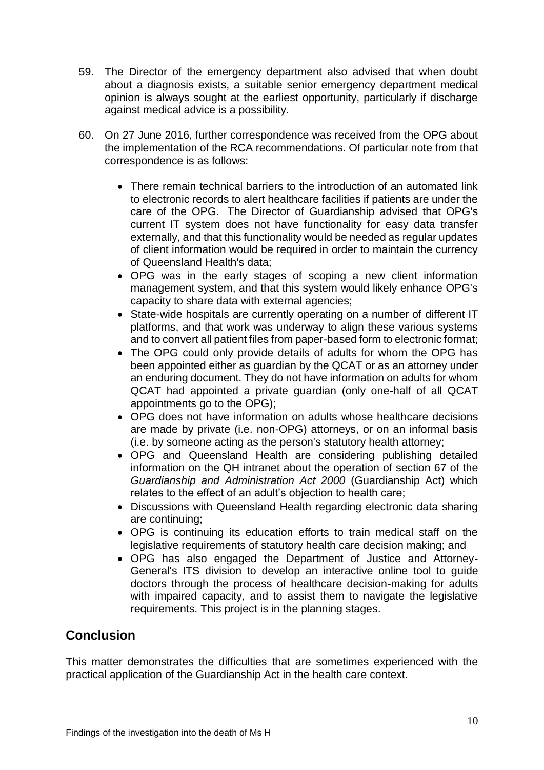- 59. The Director of the emergency department also advised that when doubt about a diagnosis exists, a suitable senior emergency department medical opinion is always sought at the earliest opportunity, particularly if discharge against medical advice is a possibility.
- 60. On 27 June 2016, further correspondence was received from the OPG about the implementation of the RCA recommendations. Of particular note from that correspondence is as follows:
	- There remain technical barriers to the introduction of an automated link to electronic records to alert healthcare facilities if patients are under the care of the OPG. The Director of Guardianship advised that OPG's current IT system does not have functionality for easy data transfer externally, and that this functionality would be needed as regular updates of client information would be required in order to maintain the currency of Queensland Health's data;
	- OPG was in the early stages of scoping a new client information management system, and that this system would likely enhance OPG's capacity to share data with external agencies;
	- State-wide hospitals are currently operating on a number of different IT platforms, and that work was underway to align these various systems and to convert all patient files from paper-based form to electronic format;
	- The OPG could only provide details of adults for whom the OPG has been appointed either as guardian by the QCAT or as an attorney under an enduring document. They do not have information on adults for whom QCAT had appointed a private guardian (only one-half of all QCAT appointments go to the OPG);
	- OPG does not have information on adults whose healthcare decisions are made by private (i.e. non-OPG) attorneys, or on an informal basis (i.e. by someone acting as the person's statutory health attorney;
	- OPG and Queensland Health are considering publishing detailed information on the QH intranet about the operation of section 67 of the *Guardianship and Administration Act 2000* (Guardianship Act) which relates to the effect of an adult's objection to health care;
	- Discussions with Queensland Health regarding electronic data sharing are continuing;
	- OPG is continuing its education efforts to train medical staff on the legislative requirements of statutory health care decision making; and
	- OPG has also engaged the Department of Justice and Attorney-General's ITS division to develop an interactive online tool to guide doctors through the process of healthcare decision-making for adults with impaired capacity, and to assist them to navigate the legislative requirements. This project is in the planning stages.

### **Conclusion**

This matter demonstrates the difficulties that are sometimes experienced with the practical application of the Guardianship Act in the health care context.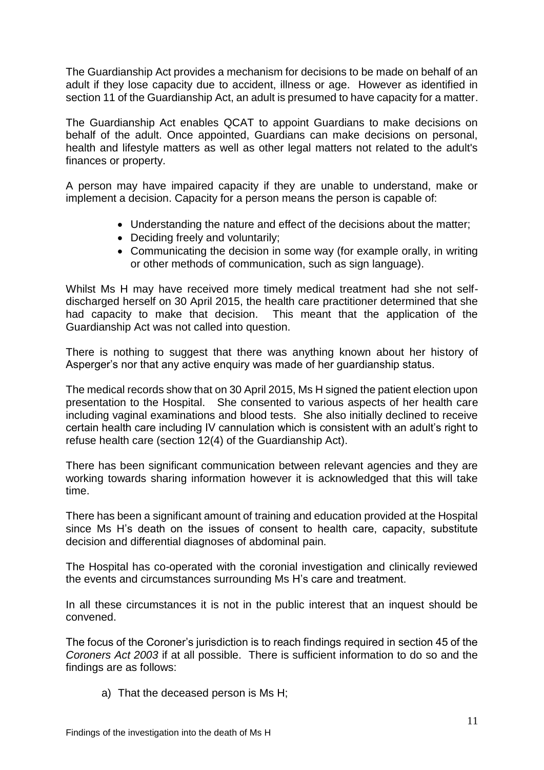The Guardianship Act provides a mechanism for decisions to be made on behalf of an adult if they lose capacity due to accident, illness or age. However as identified in section 11 of the Guardianship Act, an adult is presumed to have capacity for a matter.

The Guardianship Act enables QCAT to appoint Guardians to make decisions on behalf of the adult. Once appointed, Guardians can make decisions on personal, health and lifestyle matters as well as other legal matters not related to the adult's finances or property.

A person may have impaired capacity if they are unable to understand, make or implement a decision. Capacity for a person means the person is capable of:

- Understanding the nature and effect of the decisions about the matter;
- Deciding freely and voluntarily:
- Communicating the decision in some way (for example orally, in writing or other methods of communication, such as sign language).

Whilst Ms H may have received more timely medical treatment had she not selfdischarged herself on 30 April 2015, the health care practitioner determined that she had capacity to make that decision. This meant that the application of the Guardianship Act was not called into question.

There is nothing to suggest that there was anything known about her history of Asperger's nor that any active enquiry was made of her guardianship status.

The medical records show that on 30 April 2015, Ms H signed the patient election upon presentation to the Hospital. She consented to various aspects of her health care including vaginal examinations and blood tests. She also initially declined to receive certain health care including IV cannulation which is consistent with an adult's right to refuse health care (section 12(4) of the Guardianship Act).

There has been significant communication between relevant agencies and they are working towards sharing information however it is acknowledged that this will take time.

There has been a significant amount of training and education provided at the Hospital since Ms H's death on the issues of consent to health care, capacity, substitute decision and differential diagnoses of abdominal pain.

The Hospital has co-operated with the coronial investigation and clinically reviewed the events and circumstances surrounding Ms H's care and treatment.

In all these circumstances it is not in the public interest that an inquest should be convened.

The focus of the Coroner's jurisdiction is to reach findings required in section 45 of the *Coroners Act 2003* if at all possible. There is sufficient information to do so and the findings are as follows:

a) That the deceased person is Ms H;